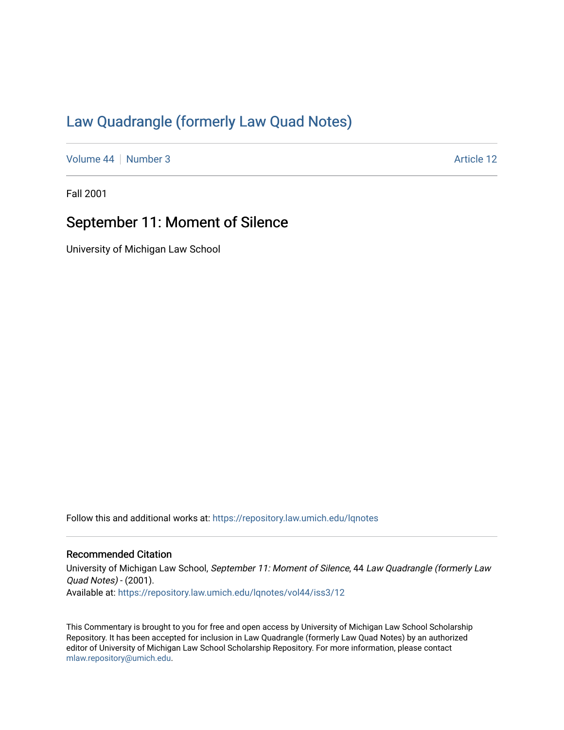## [Law Quadrangle \(formerly Law Quad Notes\)](https://repository.law.umich.edu/lqnotes)

[Volume 44](https://repository.law.umich.edu/lqnotes/vol44) | [Number 3](https://repository.law.umich.edu/lqnotes/vol44/iss3) Article 12

Fall 2001

## September 11: Moment of Silence

University of Michigan Law School

Follow this and additional works at: [https://repository.law.umich.edu/lqnotes](https://repository.law.umich.edu/lqnotes?utm_source=repository.law.umich.edu%2Flqnotes%2Fvol44%2Fiss3%2F12&utm_medium=PDF&utm_campaign=PDFCoverPages) 

## Recommended Citation

University of Michigan Law School, September 11: Moment of Silence, 44 Law Quadrangle (formerly Law Quad Notes) - (2001). Available at: [https://repository.law.umich.edu/lqnotes/vol44/iss3/12](https://repository.law.umich.edu/lqnotes/vol44/iss3/12?utm_source=repository.law.umich.edu%2Flqnotes%2Fvol44%2Fiss3%2F12&utm_medium=PDF&utm_campaign=PDFCoverPages)

This Commentary is brought to you for free and open access by University of Michigan Law School Scholarship Repository. It has been accepted for inclusion in Law Quadrangle (formerly Law Quad Notes) by an authorized editor of University of Michigan Law School Scholarship Repository. For more information, please contact [mlaw.repository@umich.edu.](mailto:mlaw.repository@umich.edu)